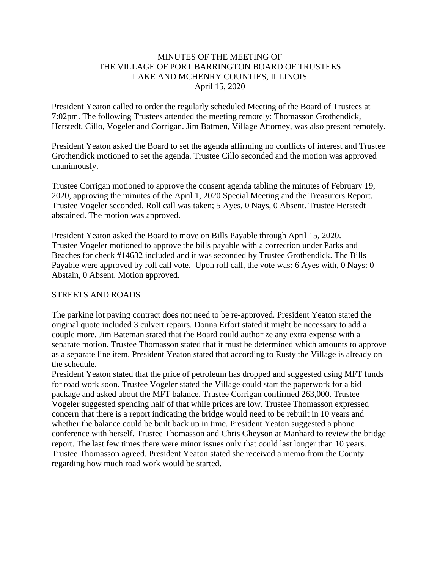# MINUTES OF THE MEETING OF THE VILLAGE OF PORT BARRINGTON BOARD OF TRUSTEES LAKE AND MCHENRY COUNTIES, ILLINOIS April 15, 2020

President Yeaton called to order the regularly scheduled Meeting of the Board of Trustees at 7:02pm. The following Trustees attended the meeting remotely: Thomasson Grothendick, Herstedt, Cillo, Vogeler and Corrigan. Jim Batmen, Village Attorney, was also present remotely.

President Yeaton asked the Board to set the agenda affirming no conflicts of interest and Trustee Grothendick motioned to set the agenda. Trustee Cillo seconded and the motion was approved unanimously.

Trustee Corrigan motioned to approve the consent agenda tabling the minutes of February 19, 2020, approving the minutes of the April 1, 2020 Special Meeting and the Treasurers Report. Trustee Vogeler seconded. Roll call was taken; 5 Ayes, 0 Nays, 0 Absent. Trustee Herstedt abstained. The motion was approved.

President Yeaton asked the Board to move on Bills Payable through April 15, 2020. Trustee Vogeler motioned to approve the bills payable with a correction under Parks and Beaches for check #14632 included and it was seconded by Trustee Grothendick. The Bills Payable were approved by roll call vote. Upon roll call, the vote was: 6 Ayes with, 0 Nays: 0 Abstain, 0 Absent. Motion approved.

#### STREETS AND ROADS

The parking lot paving contract does not need to be re-approved. President Yeaton stated the original quote included 3 culvert repairs. Donna Erfort stated it might be necessary to add a couple more. Jim Bateman stated that the Board could authorize any extra expense with a separate motion. Trustee Thomasson stated that it must be determined which amounts to approve as a separate line item. President Yeaton stated that according to Rusty the Village is already on the schedule.

President Yeaton stated that the price of petroleum has dropped and suggested using MFT funds for road work soon. Trustee Vogeler stated the Village could start the paperwork for a bid package and asked about the MFT balance. Trustee Corrigan confirmed 263,000. Trustee Vogeler suggested spending half of that while prices are low. Trustee Thomasson expressed concern that there is a report indicating the bridge would need to be rebuilt in 10 years and whether the balance could be built back up in time. President Yeaton suggested a phone conference with herself, Trustee Thomasson and Chris Gheyson at Manhard to review the bridge report. The last few times there were minor issues only that could last longer than 10 years. Trustee Thomasson agreed. President Yeaton stated she received a memo from the County regarding how much road work would be started.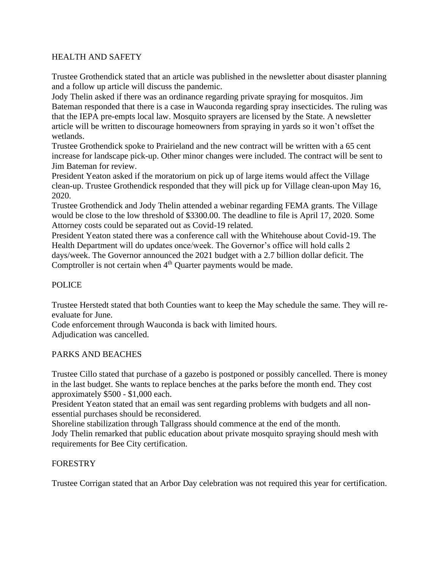# HEALTH AND SAFETY

Trustee Grothendick stated that an article was published in the newsletter about disaster planning and a follow up article will discuss the pandemic.

Jody Thelin asked if there was an ordinance regarding private spraying for mosquitos. Jim Bateman responded that there is a case in Wauconda regarding spray insecticides. The ruling was that the IEPA pre-empts local law. Mosquito sprayers are licensed by the State. A newsletter article will be written to discourage homeowners from spraying in yards so it won't offset the wetlands.

Trustee Grothendick spoke to Prairieland and the new contract will be written with a 65 cent increase for landscape pick-up. Other minor changes were included. The contract will be sent to Jim Bateman for review.

President Yeaton asked if the moratorium on pick up of large items would affect the Village clean-up. Trustee Grothendick responded that they will pick up for Village clean-upon May 16, 2020.

Trustee Grothendick and Jody Thelin attended a webinar regarding FEMA grants. The Village would be close to the low threshold of \$3300.00. The deadline to file is April 17, 2020. Some Attorney costs could be separated out as Covid-19 related.

President Yeaton stated there was a conference call with the Whitehouse about Covid-19. The Health Department will do updates once/week. The Governor's office will hold calls 2 days/week. The Governor announced the 2021 budget with a 2.7 billion dollar deficit. The Comptroller is not certain when  $4<sup>th</sup>$  Quarter payments would be made.

# POLICE

Trustee Herstedt stated that both Counties want to keep the May schedule the same. They will reevaluate for June.

Code enforcement through Wauconda is back with limited hours. Adjudication was cancelled.

#### PARKS AND BEACHES

Trustee Cillo stated that purchase of a gazebo is postponed or possibly cancelled. There is money in the last budget. She wants to replace benches at the parks before the month end. They cost approximately \$500 - \$1,000 each.

President Yeaton stated that an email was sent regarding problems with budgets and all nonessential purchases should be reconsidered.

Shoreline stabilization through Tallgrass should commence at the end of the month. Jody Thelin remarked that public education about private mosquito spraying should mesh with requirements for Bee City certification.

#### FORESTRY

Trustee Corrigan stated that an Arbor Day celebration was not required this year for certification.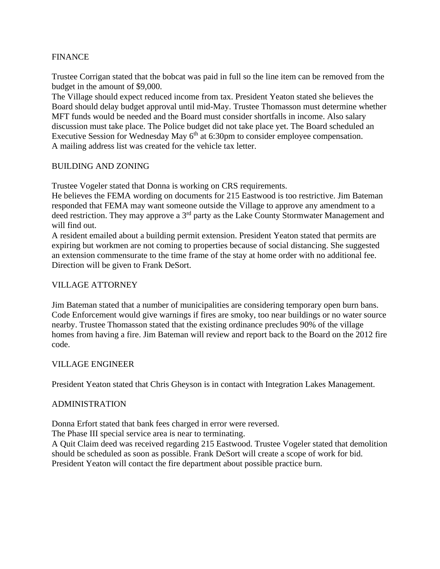# FINANCE

Trustee Corrigan stated that the bobcat was paid in full so the line item can be removed from the budget in the amount of \$9,000.

The Village should expect reduced income from tax. President Yeaton stated she believes the Board should delay budget approval until mid-May. Trustee Thomasson must determine whether MFT funds would be needed and the Board must consider shortfalls in income. Also salary discussion must take place. The Police budget did not take place yet. The Board scheduled an Executive Session for Wednesday May 6<sup>th</sup> at 6:30pm to consider employee compensation. A mailing address list was created for the vehicle tax letter.

#### BUILDING AND ZONING

Trustee Vogeler stated that Donna is working on CRS requirements.

He believes the FEMA wording on documents for 215 Eastwood is too restrictive. Jim Bateman responded that FEMA may want someone outside the Village to approve any amendment to a deed restriction. They may approve a 3<sup>rd</sup> party as the Lake County Stormwater Management and will find out.

A resident emailed about a building permit extension. President Yeaton stated that permits are expiring but workmen are not coming to properties because of social distancing. She suggested an extension commensurate to the time frame of the stay at home order with no additional fee. Direction will be given to Frank DeSort.

#### VILLAGE ATTORNEY

Jim Bateman stated that a number of municipalities are considering temporary open burn bans. Code Enforcement would give warnings if fires are smoky, too near buildings or no water source nearby. Trustee Thomasson stated that the existing ordinance precludes 90% of the village homes from having a fire. Jim Bateman will review and report back to the Board on the 2012 fire code.

#### VILLAGE ENGINEER

President Yeaton stated that Chris Gheyson is in contact with Integration Lakes Management.

#### ADMINISTRATION

Donna Erfort stated that bank fees charged in error were reversed.

The Phase III special service area is near to terminating.

A Quit Claim deed was received regarding 215 Eastwood. Trustee Vogeler stated that demolition should be scheduled as soon as possible. Frank DeSort will create a scope of work for bid. President Yeaton will contact the fire department about possible practice burn.